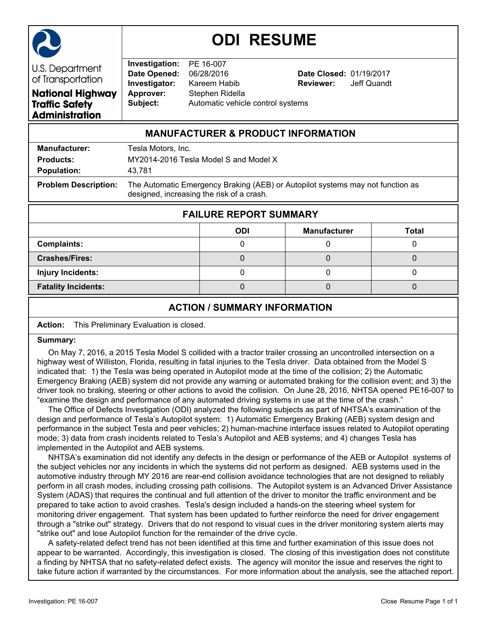

# **ODI RESUME**

**U.S. Department** of Transportation **National Highway Traffic Safety Administration** 

**Investigation:** PE 16-007 **Date Opened:** 06/28/2016 **Date Closed:** 01/19/2017 **Investigator:** Kareem Habib **Reviewer:** Jeff Quandt **Approver:** Stephen Ridella **Subject:** Automatic vehicle control systems

# **MANUFACTURER & PRODUCT INFORMATION**

| <b>Manufacturer:</b>        | Tesla Motors, Inc.                                                                                                          |
|-----------------------------|-----------------------------------------------------------------------------------------------------------------------------|
| <b>Products:</b>            | MY2014-2016 Tesla Model S and Model X                                                                                       |
| <b>Population:</b>          | 43.781                                                                                                                      |
| <b>Problem Description:</b> | The Automatic Emergency Braking (AEB) or Autopilot systems may not function as<br>designed, increasing the risk of a crash. |

| <b>FAILURE REPORT SUMMARY</b> |            |                     |       |  |  |  |  |
|-------------------------------|------------|---------------------|-------|--|--|--|--|
|                               | <b>ODI</b> | <b>Manufacturer</b> | Total |  |  |  |  |
| <b>Complaints:</b>            |            |                     |       |  |  |  |  |
| <b>Crashes/Fires:</b>         |            |                     |       |  |  |  |  |
| <b>Injury Incidents:</b>      |            |                     |       |  |  |  |  |
| <b>Fatality Incidents:</b>    |            |                     |       |  |  |  |  |

# **ACTION / SUMMARY INFORMATION**

**Action:** This Preliminary Evaluation is closed.

### **Summary:**

 On May 7, 2016, a 2015 Tesla Model S collided with a tractor trailer crossing an uncontrolled intersection on a highway west of Williston, Florida, resulting in fatal injuries to the Tesla driver. Data obtained from the Model S indicated that: 1) the Tesla was being operated in Autopilot mode at the time of the collision; 2) the Automatic Emergency Braking (AEB) system did not provide any warning or automated braking for the collision event; and 3) the driver took no braking, steering or other actions to avoid the collision. On June 28, 2016, NHTSA opened PE16-007 to "examine the design and performance of any automated driving systems in use at the time of the crash."

 The Office of Defects Investigation (ODI) analyzed the following subjects as part of NHTSA's examination of the design and performance of Tesla's Autopilot system: 1) Automatic Emergency Braking (AEB) system design and performance in the subject Tesla and peer vehicles; 2) human-machine interface issues related to Autopilot operating mode; 3) data from crash incidents related to Tesla's Autopilot and AEB systems; and 4) changes Tesla has implemented in the Autopilot and AEB systems.

 NHTSA's examination did not identify any defects in the design or performance of the AEB or Autopilot systems of the subject vehicles nor any incidents in which the systems did not perform as designed. AEB systems used in the automotive industry through MY 2016 are rear-end collision avoidance technologies that are not designed to reliably perform in all crash modes, including crossing path collisions. The Autopilot system is an Advanced Driver Assistance System (ADAS) that requires the continual and full attention of the driver to monitor the traffic environment and be prepared to take action to avoid crashes. Tesla's design included a hands-on the steering wheel system for monitoring driver engagement. That system has been updated to further reinforce the need for driver engagement through a "strike out" strategy. Drivers that do not respond to visual cues in the driver monitoring system alerts may "strike out" and lose Autopilot function for the remainder of the drive cycle.

 A safety-related defect trend has not been identified at this time and further examination of this issue does not appear to be warranted. Accordingly, this investigation is closed. The closing of this investigation does not constitute a finding by NHTSA that no safety-related defect exists. The agency will monitor the issue and reserves the right to take future action if warranted by the circumstances. For more information about the analysis, see the attached report.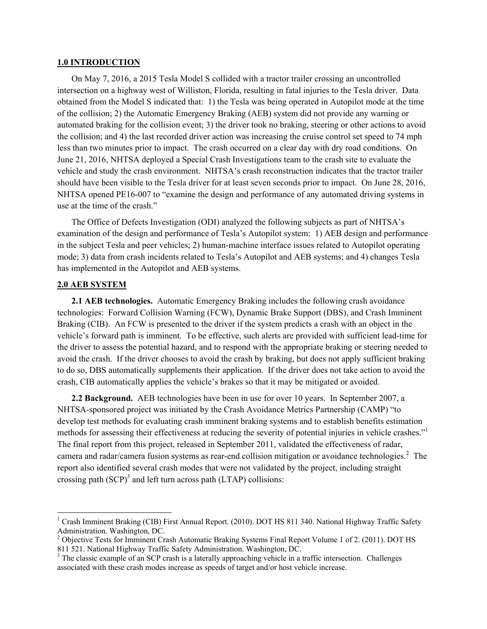#### **1.0 INTRODUCTION**

On May 7, 2016, a 2015 Tesla Model S collided with a tractor trailer crossing an uncontrolled intersection on a highway west of Williston, Florida, resulting in fatal injuries to the Tesla driver. Data obtained from the Model S indicated that: 1) the Tesla was being operated in Autopilot mode at the time of the collision; 2) the Automatic Emergency Braking (AEB) system did not provide any warning or automated braking for the collision event; 3) the driver took no braking, steering or other actions to avoid the collision; and 4) the last recorded driver action was increasing the cruise control set speed to 74 mph less than two minutes prior to impact. The crash occurred on a clear day with dry road conditions. On June 21, 2016, NHTSA deployed a Special Crash Investigations team to the crash site to evaluate the vehicle and study the crash environment. NHTSA's crash reconstruction indicates that the tractor trailer should have been visible to the Tesla driver for at least seven seconds prior to impact. On June 28, 2016, NHTSA opened PE16-007 to "examine the design and performance of any automated driving systems in use at the time of the crash."

The Office of Defects Investigation (ODI) analyzed the following subjects as part of NHTSA's examination of the design and performance of Tesla's Autopilot system: 1) AEB design and performance in the subject Tesla and peer vehicles; 2) human-machine interface issues related to Autopilot operating mode; 3) data from crash incidents related to Tesla's Autopilot and AEB systems; and 4) changes Tesla has implemented in the Autopilot and AEB systems.

## **2.0 AEB SYSTEM**

**2.1 AEB technologies.** Automatic Emergency Braking includes the following crash avoidance technologies: Forward Collision Warning (FCW), Dynamic Brake Support (DBS), and Crash Imminent Braking (CIB). An FCW is presented to the driver if the system predicts a crash with an object in the vehicle's forward path is imminent. To be effective, such alerts are provided with sufficient lead-time for the driver to assess the potential hazard, and to respond with the appropriate braking or steering needed to avoid the crash. If the driver chooses to avoid the crash by braking, but does not apply sufficient braking to do so, DBS automatically supplements their application. If the driver does not take action to avoid the crash, CIB automatically applies the vehicle's brakes so that it may be mitigated or avoided.

**2.2 Background.** AEB technologies have been in use for over 10 years. In September 2007, a NHTSA-sponsored project was initiated by the Crash Avoidance Metrics Partnership (CAMP) "to develop test methods for evaluating crash imminent braking systems and to establish benefits estimation methods for assessing their effectiveness at reducing the severity of potential injuries in vehicle crashes." The final report from this project, released in September 2011, validated the effectiveness of radar, camera and radar/camera fusion systems as rear-end collision mitigation or avoidance technologies.<sup>2</sup> The report also identified several crash modes that were not validated by the project, including straight crossing path  $(SCP)^3$  and left turn across path (LTAP) collisions:

<sup>&</sup>lt;sup>1</sup> Crash Imminent Braking (CIB) First Annual Report. (2010). DOT HS 811 340. National Highway Traffic Safety Administration. Washington, DC.

<sup>&</sup>lt;sup>2</sup> Objective Tests for Imminent Crash Automatic Braking Systems Final Report Volume 1 of 2. (2011). DOT HS 811 521. National Highway Traffic Safety Administration. Washington, DC.

<sup>&</sup>lt;sup>3</sup> The classic example of an SCP crash is a laterally approaching vehicle in a traffic intersection. Challenges associated with these crash modes increase as speeds of target and/or host vehicle increase.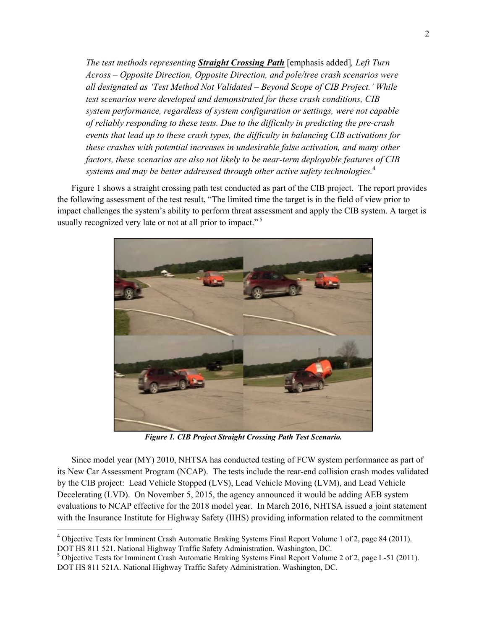*The test methods representing Straight Crossing Path* [emphasis added]*, Left Turn Across – Opposite Direction, Opposite Direction, and pole/tree crash scenarios were all designated as 'Test Method Not Validated – Beyond Scope of CIB Project.' While test scenarios were developed and demonstrated for these crash conditions, CIB system performance, regardless of system configuration or settings, were not capable of reliably responding to these tests. Due to the difficulty in predicting the pre-crash events that lead up to these crash types, the difficulty in balancing CIB activations for these crashes with potential increases in undesirable false activation, and many other factors, these scenarios are also not likely to be near-term deployable features of CIB systems and may be better addressed through other active safety technologies.*<sup>4</sup>

Figure 1 shows a straight crossing path test conducted as part of the CIB project. The report provides the following assessment of the test result, "The limited time the target is in the field of view prior to impact challenges the system's ability to perform threat assessment and apply the CIB system. A target is usually recognized very late or not at all prior to impact."<sup>5</sup>



*Figure 1. CIB Project Straight Crossing Path Test Scenario.* 

Since model year (MY) 2010, NHTSA has conducted testing of FCW system performance as part of its New Car Assessment Program (NCAP). The tests include the rear-end collision crash modes validated by the CIB project: Lead Vehicle Stopped (LVS), Lead Vehicle Moving (LVM), and Lead Vehicle Decelerating (LVD). On November 5, 2015, the agency announced it would be adding AEB system evaluations to NCAP effective for the 2018 model year. In March 2016, NHTSA issued a joint statement with the Insurance Institute for Highway Safety (IIHS) providing information related to the commitment

<sup>&</sup>lt;sup>4</sup> Objective Tests for Imminent Crash Automatic Braking Systems Final Report Volume 1 of 2, page 84 (2011). DOT HS 811 521. National Highway Traffic Safety Administration. Washington, DC.

<sup>&</sup>lt;sup>5</sup> Objective Tests for Imminent Crash Automatic Braking Systems Final Report Volume 2 of 2, page L-51 (2011). DOT HS 811 521A. National Highway Traffic Safety Administration. Washington, DC.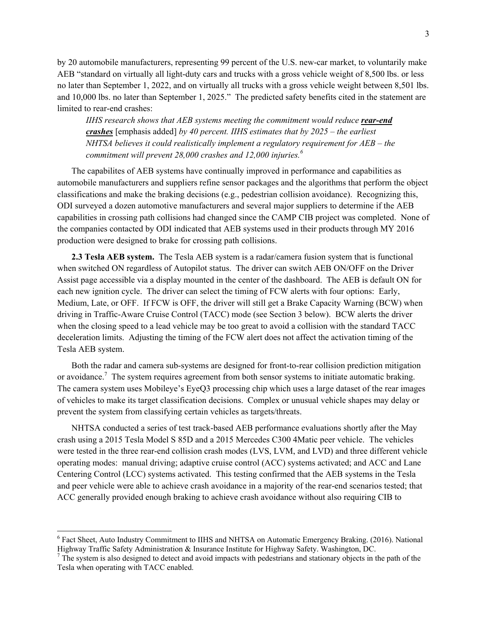by 20 automobile manufacturers, representing 99 percent of the U.S. new-car market, to voluntarily make AEB "standard on virtually all light-duty cars and trucks with a gross vehicle weight of 8,500 lbs. or less no later than September 1, 2022, and on virtually all trucks with a gross vehicle weight between 8,501 lbs. and 10,000 lbs. no later than September 1, 2025." The predicted safety benefits cited in the statement are limited to rear-end crashes:

*IIHS research shows that AEB systems meeting the commitment would reduce <i>rear-end crashes* [emphasis added] *by 40 percent. IIHS estimates that by 2025 – the earliest NHTSA believes it could realistically implement a regulatory requirement for AEB – the commitment will prevent 28,000 crashes and 12,000 injuries.6*

The capabilites of AEB systems have continually improved in performance and capabilities as automobile manufacturers and suppliers refine sensor packages and the algorithms that perform the object classifications and make the braking decisions (e.g., pedestrian collision avoidance). Recognizing this, ODI surveyed a dozen automotive manufacturers and several major suppliers to determine if the AEB capabilities in crossing path collisions had changed since the CAMP CIB project was completed. None of the companies contacted by ODI indicated that AEB systems used in their products through MY 2016 production were designed to brake for crossing path collisions.

**2.3 Tesla AEB system.** The Tesla AEB system is a radar/camera fusion system that is functional when switched ON regardless of Autopilot status. The driver can switch AEB ON/OFF on the Driver Assist page accessible via a display mounted in the center of the dashboard. The AEB is default ON for each new ignition cycle. The driver can select the timing of FCW alerts with four options: Early, Medium, Late, or OFF. If FCW is OFF, the driver will still get a Brake Capacity Warning (BCW) when driving in Traffic-Aware Cruise Control (TACC) mode (see Section 3 below). BCW alerts the driver when the closing speed to a lead vehicle may be too great to avoid a collision with the standard TACC deceleration limits. Adjusting the timing of the FCW alert does not affect the activation timing of the Tesla AEB system.

Both the radar and camera sub-systems are designed for front-to-rear collision prediction mitigation or avoidance.<sup>7</sup> The system requires agreement from both sensor systems to initiate automatic braking. The camera system uses Mobileye's EyeQ3 processing chip which uses a large dataset of the rear images of vehicles to make its target classification decisions. Complex or unusual vehicle shapes may delay or prevent the system from classifying certain vehicles as targets/threats.

NHTSA conducted a series of test track-based AEB performance evaluations shortly after the May crash using a 2015 Tesla Model S 85D and a 2015 Mercedes C300 4Matic peer vehicle. The vehicles were tested in the three rear-end collision crash modes (LVS, LVM, and LVD) and three different vehicle operating modes: manual driving; adaptive cruise control (ACC) systems activated; and ACC and Lane Centering Control (LCC) systems activated. This testing confirmed that the AEB systems in the Tesla and peer vehicle were able to achieve crash avoidance in a majority of the rear-end scenarios tested; that ACC generally provided enough braking to achieve crash avoidance without also requiring CIB to

<sup>&</sup>lt;sup>6</sup> Fact Sheet, Auto Industry Commitment to IIHS and NHTSA on Automatic Emergency Braking. (2016). National Highway Traffic Safety Administration & Insurance Institute for Highway Safety. Washington, DC.

 $<sup>7</sup>$  The system is also designed to detect and avoid impacts with pedestrians and stationary objects in the path of the</sup> Tesla when operating with TACC enabled.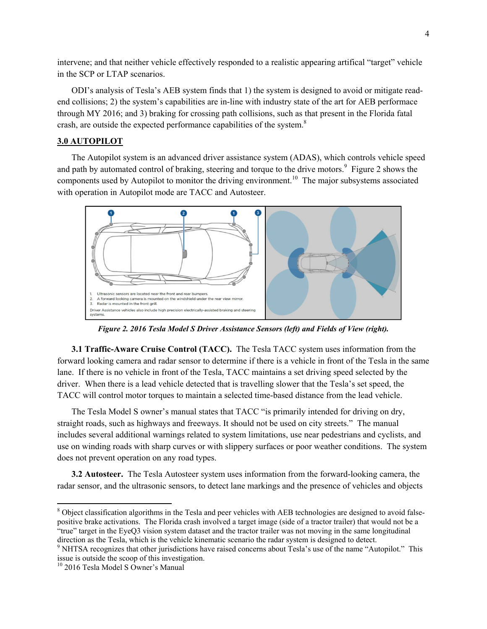intervene; and that neither vehicle effectively responded to a realistic appearing artifical "target" vehicle in the SCP or LTAP scenarios.

ODI's analysis of Tesla's AEB system finds that 1) the system is designed to avoid or mitigate readend collisions; 2) the system's capabilities are in-line with industry state of the art for AEB performace through MY 2016; and 3) braking for crossing path collisions, such as that present in the Florida fatal crash, are outside the expected performance capabilities of the system.<sup>8</sup>

## **3.0 AUTOPILOT**

The Autopilot system is an advanced driver assistance system (ADAS), which controls vehicle speed and path by automated control of braking, steering and torque to the drive motors.<sup>9</sup> Figure 2 shows the components used by Autopilot to monitor the driving environment.<sup>10</sup> The major subsystems associated with operation in Autopilot mode are TACC and Autosteer.



*Figure 2. 2016 Tesla Model S Driver Assistance Sensors (left) and Fields of View (right).* 

**3.1 Traffic-Aware Cruise Control (TACC).** The Tesla TACC system uses information from the forward looking camera and radar sensor to determine if there is a vehicle in front of the Tesla in the same lane. If there is no vehicle in front of the Tesla, TACC maintains a set driving speed selected by the driver. When there is a lead vehicle detected that is travelling slower that the Tesla's set speed, the TACC will control motor torques to maintain a selected time-based distance from the lead vehicle.

The Tesla Model S owner's manual states that TACC "is primarily intended for driving on dry, straight roads, such as highways and freeways. It should not be used on city streets." The manual includes several additional warnings related to system limitations, use near pedestrians and cyclists, and use on winding roads with sharp curves or with slippery surfaces or poor weather conditions. The system does not prevent operation on any road types.

**3.2 Autosteer.** The Tesla Autosteer system uses information from the forward-looking camera, the radar sensor, and the ultrasonic sensors, to detect lane markings and the presence of vehicles and objects

<sup>&</sup>lt;sup>8</sup> Object classification algorithms in the Tesla and peer vehicles with AEB technologies are designed to avoid falsepositive brake activations. The Florida crash involved a target image (side of a tractor trailer) that would not be a "true" target in the EyeQ3 vision system dataset and the tractor trailer was not moving in the same longitudinal direction as the Tesla, which is the vehicle kinematic scenario the radar system is designed to detect.

<sup>&</sup>lt;sup>9</sup> NHTSA recognizes that other jurisdictions have raised concerns about Tesla's use of the name "Autopilot." This issue is outside the scoop of this investigation.

<sup>10 2016</sup> Tesla Model S Owner's Manual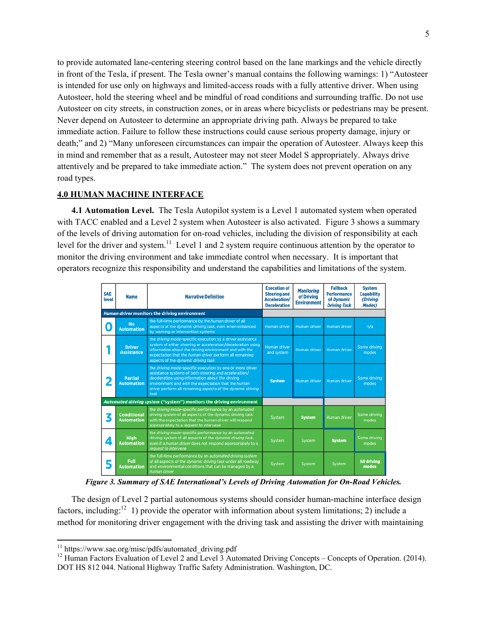to provide automated lane-centering steering control based on the lane markings and the vehicle directly in front of the Tesla, if present. The Tesla owner's manual contains the following warnings: 1) "Autosteer is intended for use only on highways and limited-access roads with a fully attentive driver. When using Autosteer, hold the steering wheel and be mindful of road conditions and surrounding traffic. Do not use Autosteer on city streets, in construction zones, or in areas where bicyclists or pedestrians may be present. Never depend on Autosteer to determine an appropriate driving path. Always be prepared to take immediate action. Failure to follow these instructions could cause serious property damage, injury or death;" and 2) "Many unforeseen circumstances can impair the operation of Autosteer. Always keep this in mind and remember that as a result, Autosteer may not steer Model S appropriately. Always drive attentively and be prepared to take immediate action." The system does not prevent operation on any road types.

# **4.0 HUMAN MACHINE INTERFACE**

**4.1 Automation Level.** The Tesla Autopilot system is a Level 1 automated system when operated with TACC enabled and a Level 2 system when Autosteer is also activated. Figure 3 shows a summary of the levels of driving automation for on-road vehicles, including the division of responsibility at each level for the driver and system.<sup>11</sup> Level 1 and 2 system require continuous attention by the operator to monitor the driving environment and take immediate control when necessary. It is important that operators recognize this responsibility and understand the capabilities and limitations of the system.

| <b>SAE</b><br>level | <b>Name</b>                                                          | <b>Narrative Definition</b>                                                                                                                                                                                                                                                                          | <b>Execution of</b><br><b>Steering and</b><br><b>Acceleration/</b><br><b>Deceleration</b> | <b>Monitoring</b><br>of Driving<br><b>Environment</b> | <b>Fallback</b><br><b>Performance</b><br>of Dynamic<br><b>Driving Task</b> | <b>System</b><br><b>Capability</b><br>(Driving<br><b>Modes</b> ) |
|---------------------|----------------------------------------------------------------------|------------------------------------------------------------------------------------------------------------------------------------------------------------------------------------------------------------------------------------------------------------------------------------------------------|-------------------------------------------------------------------------------------------|-------------------------------------------------------|----------------------------------------------------------------------------|------------------------------------------------------------------|
|                     |                                                                      | Human driver monitors the driving environment                                                                                                                                                                                                                                                        |                                                                                           |                                                       |                                                                            |                                                                  |
| $\bullet$           | <b>No</b><br><b>Automation</b>                                       | the full-time performance by the human driver of all<br>aspects of the dynamic driving task, even when enhanced<br>by warning or intervention systems                                                                                                                                                | Human driver                                                                              | Human driver                                          | Human driver                                                               | n/a                                                              |
|                     | <b>Driver</b><br><b>Assistance</b>                                   | the driving mode-specific execution by a driver assistance<br>system of either steering or acceleration/deceleration using<br>information about the driving environment and with the<br>expectation that the human driver perform all remaining<br>aspects of the dynamic driving task               | Human driver<br>and system                                                                | Human driver                                          | Human driver                                                               | Some driving<br>modes                                            |
|                     | <b>Partial</b><br><b>Automation</b>                                  | the driving mode-specific execution by one or more driver<br>assistance systems of both steering and acceleration/<br>deceleration using information about the driving<br>environment and with the expectation that the human<br>driver perform all remaining aspects of the dynamic driving<br>task | <b>System</b>                                                                             | Human driver                                          | Human driver                                                               | Some driving<br>modes                                            |
|                     | Automated driving system ("system") monitors the driving environment |                                                                                                                                                                                                                                                                                                      |                                                                                           |                                                       |                                                                            |                                                                  |
| 3                   | <b>Conditional</b><br><b>Automation</b>                              | the driving mode-specific performance by an automated<br>driving system of all aspects of the dynamic driving task<br>with the expectation that the human driver will respond<br>appropriately to a request to intervene                                                                             | System                                                                                    | <b>System</b>                                         | <b>Human driver</b>                                                        | Some driving<br>modes                                            |
| 4                   | <b>High</b><br><b>Automation</b>                                     | the driving mode-specific performance by an automated<br>driving system of all aspects of the dynamic driving task,<br>even if a human driver does not respond appropriately to a<br>request to intervene                                                                                            | System                                                                                    | System                                                | <b>System</b>                                                              | Some driving<br>modes                                            |
| 5                   | Full<br><b>Automation</b>                                            | the full-time performance by an automated driving system<br>of all aspects of the dynamic driving task under all roadway<br>and environmental conditions that can be managed by a<br>human driver                                                                                                    | System                                                                                    | System                                                | System                                                                     | <b>All driving</b><br>modes                                      |

*Figure 3. Summary of SAE International's Levels of Driving Automation for On-Road Vehicles.* 

The design of Level 2 partial autonomous systems should consider human-machine interface design factors, including:<sup>12</sup> 1) provide the operator with information about system limitations; 2) include a method for monitoring driver engagement with the driving task and assisting the driver with maintaining

<sup>&</sup>lt;sup>11</sup> https://www.sae.org/misc/pdfs/automated\_driving.pdf

<sup>&</sup>lt;sup>12</sup> Human Factors Evaluation of Level 2 and Level 3 Automated Driving Concepts – Concepts of Operation. (2014). DOT HS 812 044. National Highway Traffic Safety Administration. Washington, DC.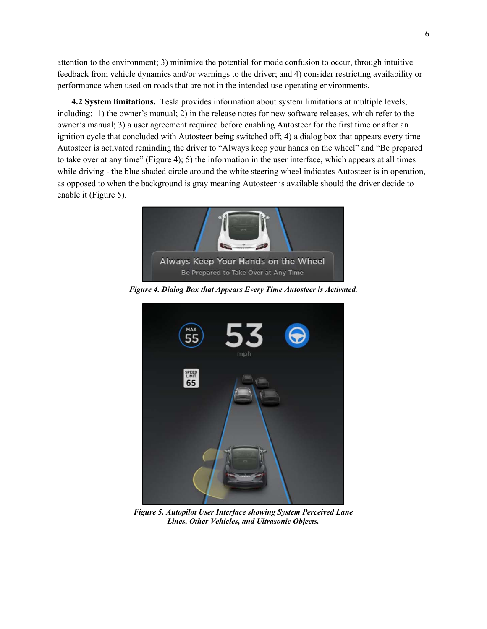attention to the environment; 3) minimize the potential for mode confusion to occur, through intuitive feedback from vehicle dynamics and/or warnings to the driver; and 4) consider restricting availability or performance when used on roads that are not in the intended use operating environments.

**4.2 System limitations.** Tesla provides information about system limitations at multiple levels, including: 1) the owner's manual; 2) in the release notes for new software releases, which refer to the owner's manual; 3) a user agreement required before enabling Autosteer for the first time or after an ignition cycle that concluded with Autosteer being switched off; 4) a dialog box that appears every time Autosteer is activated reminding the driver to "Always keep your hands on the wheel" and "Be prepared to take over at any time" (Figure 4); 5) the information in the user interface, which appears at all times while driving - the blue shaded circle around the white steering wheel indicates Autosteer is in operation, as opposed to when the background is gray meaning Autosteer is available should the driver decide to enable it (Figure 5).



*Figure 4. Dialog Box that Appears Every Time Autosteer is Activated.* 



*Figure 5. Autopilot User Interface showing System Perceived Lane Lines, Other Vehicles, and Ultrasonic Objects.*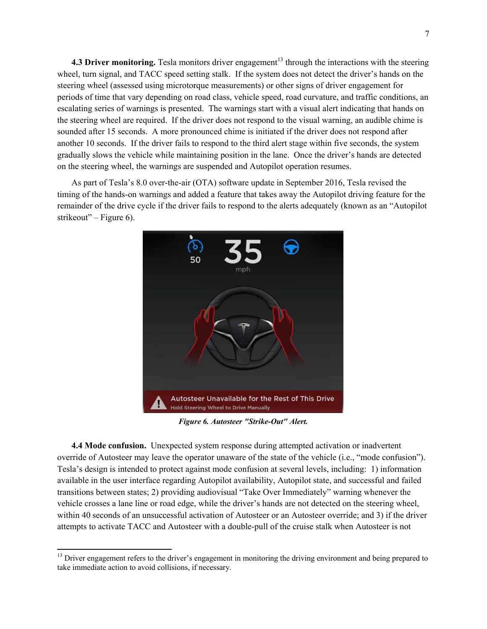**4.3 Driver monitoring.** Tesla monitors driver engagement<sup>13</sup> through the interactions with the steering wheel, turn signal, and TACC speed setting stalk. If the system does not detect the driver's hands on the steering wheel (assessed using microtorque measurements) or other signs of driver engagement for periods of time that vary depending on road class, vehicle speed, road curvature, and traffic conditions, an escalating series of warnings is presented. The warnings start with a visual alert indicating that hands on the steering wheel are required. If the driver does not respond to the visual warning, an audible chime is sounded after 15 seconds. A more pronounced chime is initiated if the driver does not respond after another 10 seconds. If the driver fails to respond to the third alert stage within five seconds, the system gradually slows the vehicle while maintaining position in the lane. Once the driver's hands are detected on the steering wheel, the warnings are suspended and Autopilot operation resumes.

As part of Tesla's 8.0 over-the-air (OTA) software update in September 2016, Tesla revised the timing of the hands-on warnings and added a feature that takes away the Autopilot driving feature for the remainder of the drive cycle if the driver fails to respond to the alerts adequately (known as an "Autopilot strikeout" – Figure 6).



*Figure 6. Autosteer "Strike-Out" Alert.* 

**4.4 Mode confusion.** Unexpected system response during attempted activation or inadvertent override of Autosteer may leave the operator unaware of the state of the vehicle (i.e., "mode confusion"). Tesla's design is intended to protect against mode confusion at several levels, including: 1) information available in the user interface regarding Autopilot availability, Autopilot state, and successful and failed transitions between states; 2) providing audiovisual "Take Over Immediately" warning whenever the vehicle crosses a lane line or road edge, while the driver's hands are not detected on the steering wheel, within 40 seconds of an unsuccessful activation of Autosteer or an Autosteer override; and 3) if the driver attempts to activate TACC and Autosteer with a double-pull of the cruise stalk when Autosteer is not

<sup>&</sup>lt;sup>13</sup> Driver engagement refers to the driver's engagement in monitoring the driving environment and being prepared to take immediate action to avoid collisions, if necessary.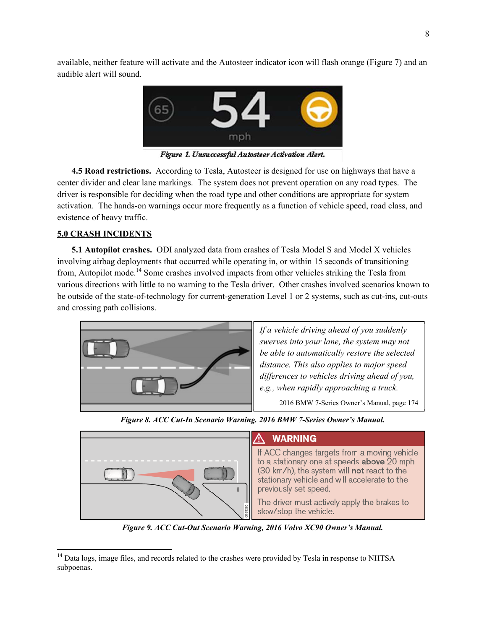available, neither feature will activate and the Autosteer indicator icon will flash orange (Figure 7) and an audible alert will sound.



Figure 1. Unsuccessful Autosteer Activation Alert.

**4.5 Road restrictions.** According to Tesla, Autosteer is designed for use on highways that have a center divider and clear lane markings. The system does not prevent operation on any road types. The driver is responsible for deciding when the road type and other conditions are appropriate for system activation. The hands-on warnings occur more frequently as a function of vehicle speed, road class, and existence of heavy traffic.

## **5.0 CRASH INCIDENTS**

**5.1 Autopilot crashes.** ODI analyzed data from crashes of Tesla Model S and Model X vehicles involving airbag deployments that occurred while operating in, or within 15 seconds of transitioning from, Autopilot mode.14 Some crashes involved impacts from other vehicles striking the Tesla from various directions with little to no warning to the Tesla driver. Other crashes involved scenarios known to be outside of the state-of-technology for current-generation Level 1 or 2 systems, such as cut-ins, cut-outs and crossing path collisions.



*If a vehicle driving ahead of you suddenly swerves into your lane, the system may not be able to automatically restore the selected distance. This also applies to major speed differences to vehicles driving ahead of you, e.g., when rapidly approaching a truck.* 

2016 BMW 7-Series Owner's Manual, page 174



#### *Figure 8. ACC Cut-In Scenario Warning. 2016 BMW 7-Series Owner's Manual.*

## **WARNING**

If ACC changes targets from a moving vehicle to a stationary one at speeds **above**  $20$  mph (30 km/h), the system will not react to the stationary vehicle and will accelerate to the previously set speed.

The driver must actively apply the brakes to slow/stop the vehicle.

*Figure 9. ACC Cut-Out Scenario Warning, 2016 Volvo XC90 Owner's Manual.*

<sup>&</sup>lt;sup>14</sup> Data logs, image files, and records related to the crashes were provided by Tesla in response to NHTSA subpoenas.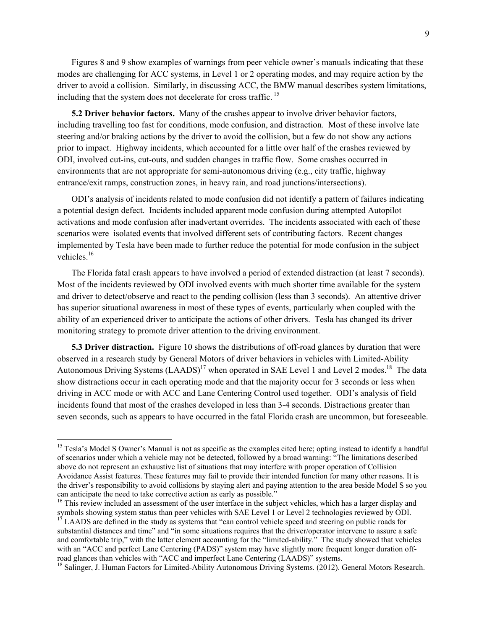Figures 8 and 9 show examples of warnings from peer vehicle owner's manuals indicating that these modes are challenging for ACC systems, in Level 1 or 2 operating modes, and may require action by the driver to avoid a collision. Similarly, in discussing ACC, the BMW manual describes system limitations, including that the system does not decelerate for cross traffic.<sup>15</sup>

**5.2 Driver behavior factors.** Many of the crashes appear to involve driver behavior factors, including travelling too fast for conditions, mode confusion, and distraction. Most of these involve late steering and/or braking actions by the driver to avoid the collision, but a few do not show any actions prior to impact. Highway incidents, which accounted for a little over half of the crashes reviewed by ODI, involved cut-ins, cut-outs, and sudden changes in traffic flow. Some crashes occurred in environments that are not appropriate for semi-autonomous driving (e.g., city traffic, highway entrance/exit ramps, construction zones, in heavy rain, and road junctions/intersections).

ODI's analysis of incidents related to mode confusion did not identify a pattern of failures indicating a potential design defect. Incidents included apparent mode confusion during attempted Autopilot activations and mode confusion after inadvertant overrides. The incidents associated with each of these scenarios were isolated events that involved different sets of contributing factors. Recent changes implemented by Tesla have been made to further reduce the potential for mode confusion in the subject vehicles $16$ 

The Florida fatal crash appears to have involved a period of extended distraction (at least 7 seconds). Most of the incidents reviewed by ODI involved events with much shorter time available for the system and driver to detect/observe and react to the pending collision (less than 3 seconds). An attentive driver has superior situational awareness in most of these types of events, particularly when coupled with the ability of an experienced driver to anticipate the actions of other drivers. Tesla has changed its driver monitoring strategy to promote driver attention to the driving environment.

**5.3 Driver distraction.** Figure 10 shows the distributions of off-road glances by duration that were observed in a research study by General Motors of driver behaviors in vehicles with Limited-Ability Autonomous Driving Systems  $(LAADS)^{17}$  when operated in SAE Level 1 and Level 2 modes.<sup>18</sup> The data show distractions occur in each operating mode and that the majority occur for 3 seconds or less when driving in ACC mode or with ACC and Lane Centering Control used together. ODI's analysis of field incidents found that most of the crashes developed in less than 3-4 seconds. Distractions greater than seven seconds, such as appears to have occurred in the fatal Florida crash are uncommon, but foreseeable.

<sup>&</sup>lt;sup>15</sup> Tesla's Model S Owner's Manual is not as specific as the examples cited here; opting instead to identify a handful of scenarios under which a vehicle may not be detected, followed by a broad warning: "The limitations described above do not represent an exhaustive list of situations that may interfere with proper operation of Collision Avoidance Assist features. These features may fail to provide their intended function for many other reasons. It is the driver's responsibility to avoid collisions by staying alert and paying attention to the area beside Model S so you can anticipate the need to take corrective action as early as possible."

<sup>&</sup>lt;sup>16</sup> This review included an assessment of the user interface in the subject vehicles, which has a larger display and symbols showing system status than peer vehicles with SAE Level 1 or Level 2 technologies reviewed by ODI.

<sup>&</sup>lt;sup>17</sup> LAADS are defined in the study as systems that "can control vehicle speed and steering on public roads for substantial distances and time" and "in some situations requires that the driver/operator intervene to assure a safe and comfortable trip," with the latter element accounting for the "limited-ability." The study showed that vehicles with an "ACC and perfect Lane Centering (PADS)" system may have slightly more frequent longer duration offroad glances than vehicles with "ACC and imperfect Lane Centering (LAADS)" systems.<br><sup>18</sup> Salinger, J. Human Factors for Limited-Ability Autonomous Driving Systems. (2012). General Motors Research.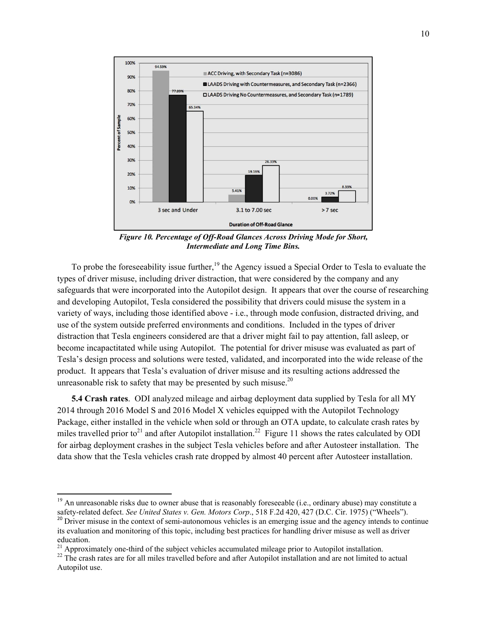

*Figure 10. Percentage of Off-Road Glances Across Driving Mode for Short, Intermediate and Long Time Bins.* 

To probe the foreseeability issue further,<sup>19</sup> the Agency issued a Special Order to Tesla to evaluate the types of driver misuse, including driver distraction, that were considered by the company and any safeguards that were incorporated into the Autopilot design. It appears that over the course of researching and developing Autopilot, Tesla considered the possibility that drivers could misuse the system in a variety of ways, including those identified above - i.e., through mode confusion, distracted driving, and use of the system outside preferred environments and conditions. Included in the types of driver distraction that Tesla engineers considered are that a driver might fail to pay attention, fall asleep, or become incapactitated while using Autopilot. The potential for driver misuse was evaluated as part of Tesla's design process and solutions were tested, validated, and incorporated into the wide release of the product. It appears that Tesla's evaluation of driver misuse and its resulting actions addressed the unreasonable risk to safety that may be presented by such misuse. $20$ 

**5.4 Crash rates**. ODI analyzed mileage and airbag deployment data supplied by Tesla for all MY 2014 through 2016 Model S and 2016 Model X vehicles equipped with the Autopilot Technology Package, either installed in the vehicle when sold or through an OTA update, to calculate crash rates by miles travelled prior to<sup>21</sup> and after Autopilot installation.<sup>22</sup> Figure 11 shows the rates calculated by ODI for airbag deployment crashes in the subject Tesla vehicles before and after Autosteer installation. The data show that the Tesla vehicles crash rate dropped by almost 40 percent after Autosteer installation.

 $19$  An unreasonable risks due to owner abuse that is reasonably foreseeable (i.e., ordinary abuse) may constitute a safety-related defect. See United States v. Gen. Motors Corp., 518 F.2d 420, 427 (D.C. Cir. 1975) ("Wheels").<br><sup>20</sup> Driver misuse in the context of semi-autonomous vehicles is an emerging issue and the agency intends to co

its evaluation and monitoring of this topic, including best practices for handling driver misuse as well as driver education.<br><sup>21</sup> Approximately one-third of the subject vehicles accumulated mileage prior to Autopilot installation.

 $22$  The crash rates are for all miles travelled before and after Autopilot installation and are not limited to actual Autopilot use.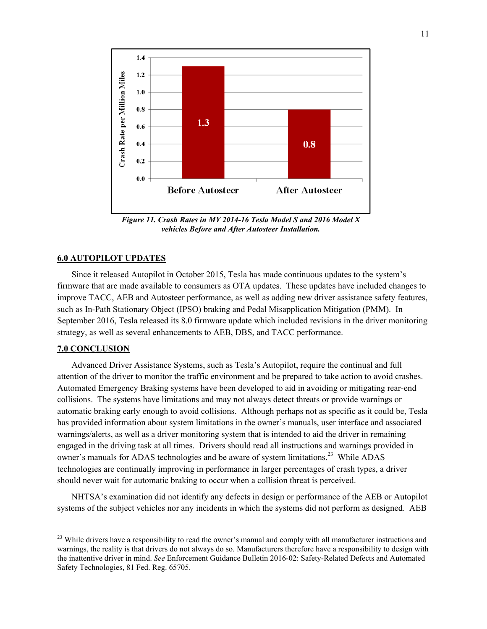

*Figure 11. Crash Rates in MY 2014-16 Tesla Model S and 2016 Model X vehicles Before and After Autosteer Installation.* 

## **6.0 AUTOPILOT UPDATES**

Since it released Autopilot in October 2015, Tesla has made continuous updates to the system's firmware that are made available to consumers as OTA updates. These updates have included changes to improve TACC, AEB and Autosteer performance, as well as adding new driver assistance safety features, such as In-Path Stationary Object (IPSO) braking and Pedal Misapplication Mitigation (PMM). In September 2016, Tesla released its 8.0 firmware update which included revisions in the driver monitoring strategy, as well as several enhancements to AEB, DBS, and TACC performance.

## **7.0 CONCLUSION**

Advanced Driver Assistance Systems, such as Tesla's Autopilot, require the continual and full attention of the driver to monitor the traffic environment and be prepared to take action to avoid crashes. Automated Emergency Braking systems have been developed to aid in avoiding or mitigating rear-end collisions. The systems have limitations and may not always detect threats or provide warnings or automatic braking early enough to avoid collisions. Although perhaps not as specific as it could be, Tesla has provided information about system limitations in the owner's manuals, user interface and associated warnings/alerts, as well as a driver monitoring system that is intended to aid the driver in remaining engaged in the driving task at all times. Drivers should read all instructions and warnings provided in owner's manuals for ADAS technologies and be aware of system limitations.<sup>23</sup> While ADAS technologies are continually improving in performance in larger percentages of crash types, a driver should never wait for automatic braking to occur when a collision threat is perceived.

NHTSA's examination did not identify any defects in design or performance of the AEB or Autopilot systems of the subject vehicles nor any incidents in which the systems did not perform as designed. AEB

<sup>&</sup>lt;sup>23</sup> While drivers have a responsibility to read the owner's manual and comply with all manufacturer instructions and warnings, the reality is that drivers do not always do so. Manufacturers therefore have a responsibility to design with the inattentive driver in mind. *See* Enforcement Guidance Bulletin 2016-02: Safety-Related Defects and Automated Safety Technologies, 81 Fed. Reg. 65705.